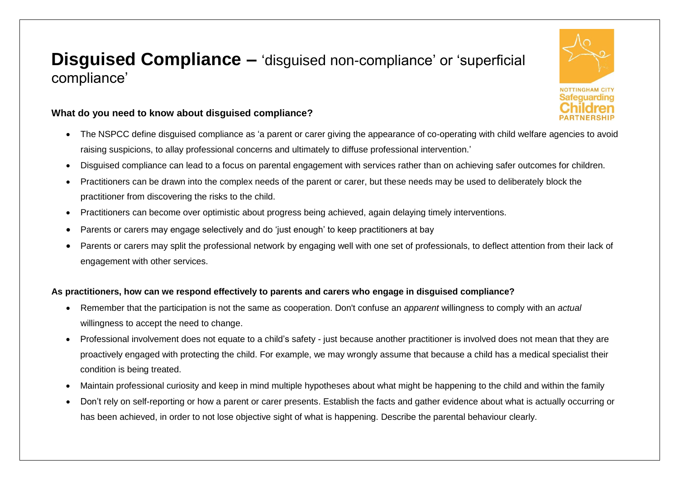# **Disguised Compliance –** 'disguised non-compliance' or 'superficial compliance'

# **What do you need to know about disguised compliance?**

- The NSPCC define disguised compliance as 'a parent or carer giving the appearance of co-operating with child welfare agencies to avoid raising suspicions, to allay professional concerns and ultimately to diffuse professional intervention.'
- Disguised compliance can lead to a focus on parental engagement with services rather than on achieving safer outcomes for children.
- Practitioners can be drawn into the complex needs of the parent or carer, but these needs may be used to deliberately block the practitioner from discovering the risks to the child.
- Practitioners can become over optimistic about progress being achieved, again delaying timely interventions.
- Parents or carers may engage selectively and do 'just enough' to keep practitioners at bay
- Parents or carers may split the professional network by engaging well with one set of professionals, to deflect attention from their lack of engagement with other services.

# **As practitioners, how can we respond effectively to parents and carers who engage in disguised compliance?**

- Remember that the participation is not the same as cooperation. Don't confuse an *apparent* willingness to comply with an *actual*  willingness to accept the need to change.
- Professional involvement does not equate to a child's safety just because another practitioner is involved does not mean that they are proactively engaged with protecting the child. For example, we may wrongly assume that because a child has a medical specialist their condition is being treated.
- Maintain professional curiosity and keep in mind multiple hypotheses about what might be happening to the child and within the family
- Don't rely on self-reporting or how a parent or carer presents. Establish the facts and gather evidence about what is actually occurring or has been achieved, in order to not lose objective sight of what is happening. Describe the parental behaviour clearly.

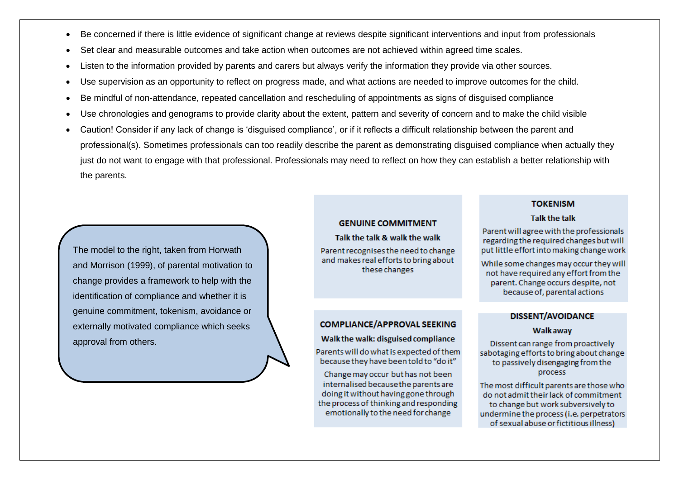- Be concerned if there is little evidence of significant change at reviews despite significant interventions and input from professionals
- Set clear and measurable outcomes and take action when outcomes are not achieved within agreed time scales.
- Listen to the information provided by parents and carers but always verify the information they provide via other sources.
- Use supervision as an opportunity to reflect on progress made, and what actions are needed to improve outcomes for the child.
- Be mindful of non-attendance, repeated cancellation and rescheduling of appointments as signs of disguised compliance
- Use chronologies and genograms to provide clarity about the extent, pattern and severity of concern and to make the child visible
- Caution! Consider if any lack of change is 'disguised compliance', or if it reflects a difficult relationship between the parent and professional(s). Sometimes professionals can too readily describe the parent as demonstrating disguised compliance when actually they just do not want to engage with that professional. Professionals may need to reflect on how they can establish a better relationship with the parents.

The model to the right, taken from Horwath and Morrison (1999), of parental motivation to change provides a framework to help with the identification of compliance and whether it is genuine commitment, tokenism, avoidance or externally motivated compliance which seeks approval from others.

## **GENUINE COMMITMENT**

Talk the talk & walk the walk

Parent recognises the need to change and makes real efforts to bring about these changes

# **COMPLIANCE/APPROVAL SEEKING**

#### Walk the walk: disguised compliance

Parents will do what is expected of them because they have been told to "do it"

Change may occur but has not been internalised because the parents are doing it without having gone through the process of thinking and responding emotionally to the need for change

## **TOKENISM**

#### Talk the talk

Parent will agree with the professionals regarding the required changes but will put little effort into making change work

While some changes may occur they will not have required any effort from the parent. Change occurs despite, not because of, parental actions

## **DISSENT/AVOIDANCE**

#### **Walk away**

Dissent can range from proactively sabotaging efforts to bring about change to passively disengaging from the process

The most difficult parents are those who do not admit their lack of commitment to change but work subversively to undermine the process (i.e. perpetrators of sexual abuse or fictitious illness)